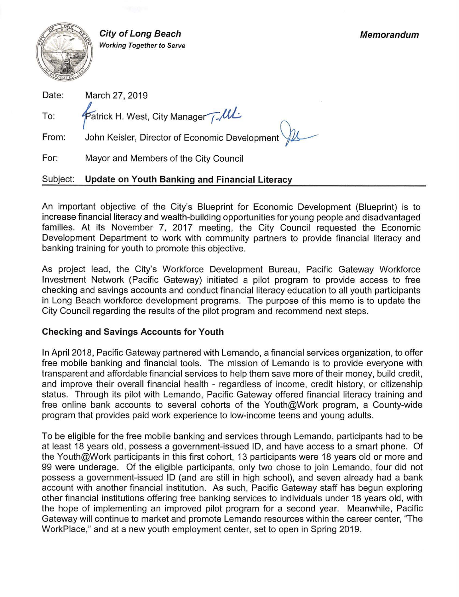

**City of Long Beach Working Together to Serve** 

| Date: | March 27, 2019                                 |
|-------|------------------------------------------------|
| To:   | Patrick H. West, City Manager J. UL            |
| From: | John Keisler, Director of Economic Development |

For: Mayor and Members of the City Council

#### Subject: **Update on Youth Banking and Financial Literacy**

An important objective of the City's Blueprint for Economic Development (Blueprint) is to increase financial literacy and wealth-building opportunities for young people and disadvantaged families. At its November 7, 2017 meeting, the City Council requested the Economic Development Department to work with community partners to provide financial literacy and banking training for youth to promote this objective.

As project lead, the City's Workforce Development Bureau, Pacific Gateway Workforce Investment Network (Pacific Gateway) initiated a pilot program to provide access to free checking and savings accounts and conduct financial literacy education to all youth participants in Long Beach workforce development programs. The purpose of this memo is to update the City Council regarding the results of the pilot program and recommend next steps.

## **Checking and Savings Accounts for Youth**

In April 2018, Pacific Gateway partnered with Lemando, a financial services organization, to offer free mobile banking and financial tools. The mission of Lemando is to provide everyone with transparent and affordable financial services to help them save more of their money, build credit, and improve their overall financial health - regardless of income, credit history, or citizenship status. Through its pilot with Lemando, Pacific Gateway offered financial literacy training and free online bank accounts to several cohorts of the Youth@Work program, a County-wide program that provides paid work experience to low-income teens and young adults.

To be eligible for the free mobile banking and services through Lemando, participants had to be at least 18 years old, possess a government-issued ID, and have access to a smart phone. Of the Youth@Work participants in this first cohort, 13 participants were 18 years old or more and 99 were underage. Of the eligible participants, only two chose to join Lemando, four did not possess a government-issued ID (and are still in high school), and seven already had a bank account with another financial institution. As such, Pacific Gateway staff has begun exploring other financial institutions offering free banking services to individuals under 18 years old, with the hope of implementing an improved pilot program for a second year. Meanwhile, Pacific Gateway will continue to market and promote Lemando resources within the career center, "The WorkPlace," and at a new youth employment center, set to open in Spring 2019.